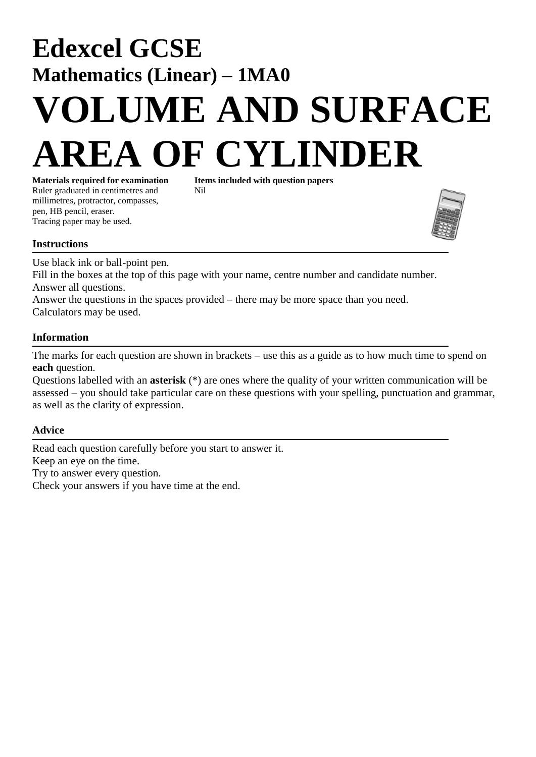## **Edexcel GCSE Mathematics (Linear) – 1MA0 VOLUME AND SURFACE OF CYLINDER**

**Materials required for examination Items included with question papers** Ruler graduated in centimetres and Nil millimetres, protractor, compasses, pen, HB pencil, eraser. Tracing paper may be used.



Use black ink or ball-point pen.

Fill in the boxes at the top of this page with your name, centre number and candidate number. Answer all questions.

Answer the questions in the spaces provided – there may be more space than you need. Calculators may be used.

## **Information**

The marks for each question are shown in brackets – use this as a guide as to how much time to spend on **each** question.

Questions labelled with an **asterisk** (\*) are ones where the quality of your written communication will be assessed – you should take particular care on these questions with your spelling, punctuation and grammar, as well as the clarity of expression.

## **Advice**

Read each question carefully before you start to answer it. Keep an eye on the time. Try to answer every question. Check your answers if you have time at the end.

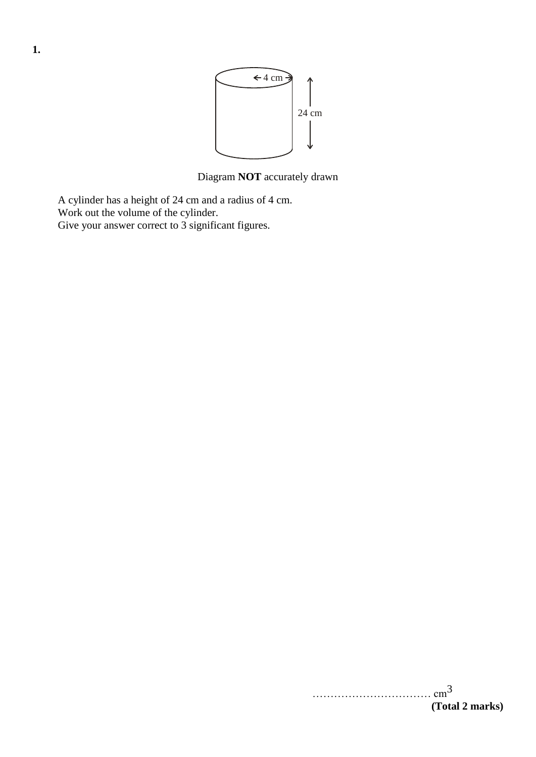

Diagram **NOT** accurately drawn

A cylinder has a height of 24 cm and a radius of 4 cm. Work out the volume of the cylinder. Give your answer correct to 3 significant figures.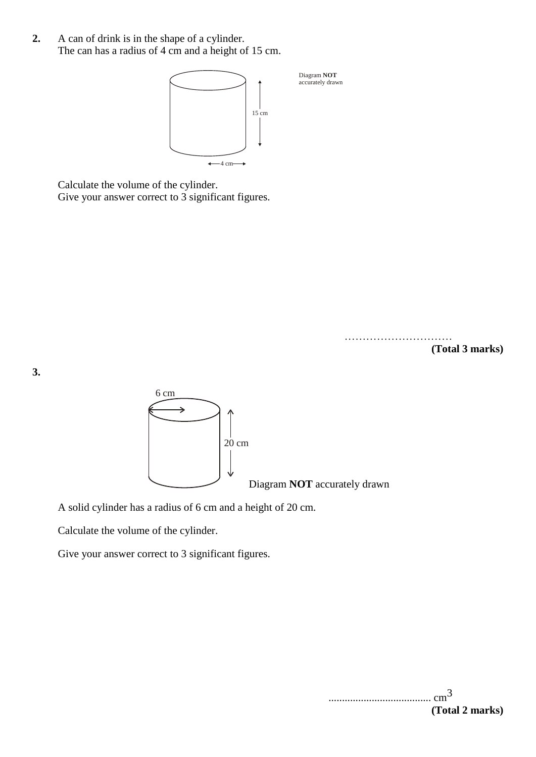**2.** A can of drink is in the shape of a cylinder. The can has a radius of 4 cm and a height of 15 cm.



Calculate the volume of the cylinder. Give your answer correct to 3 significant figures.

> ……………………………… **(Total 3 marks)**

**3.**



A solid cylinder has a radius of 6 cm and a height of 20 cm.

Calculate the volume of the cylinder.

Give your answer correct to 3 significant figures.

...................................... cm3 **(Total 2 marks)**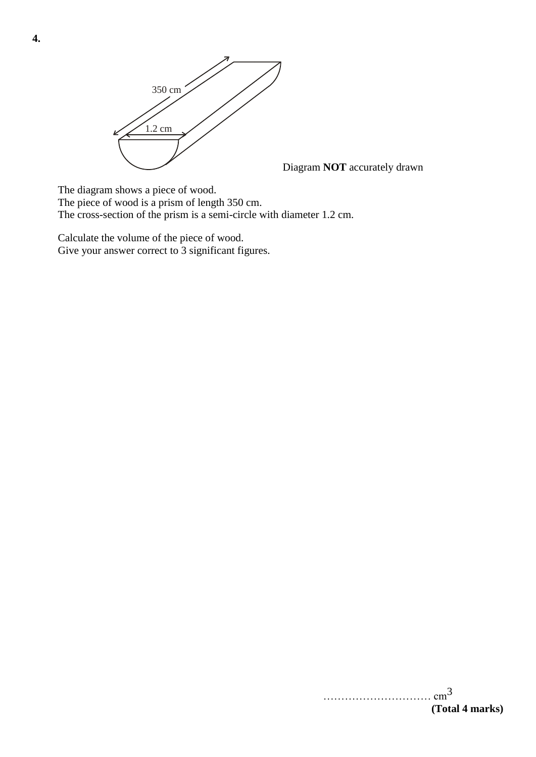

Diagram **NOT** accurately drawn

The diagram shows a piece of wood.

The piece of wood is a prism of length 350 cm.

The cross-section of the prism is a semi-circle with diameter 1.2 cm.

Calculate the volume of the piece of wood. Give your answer correct to 3 significant figures.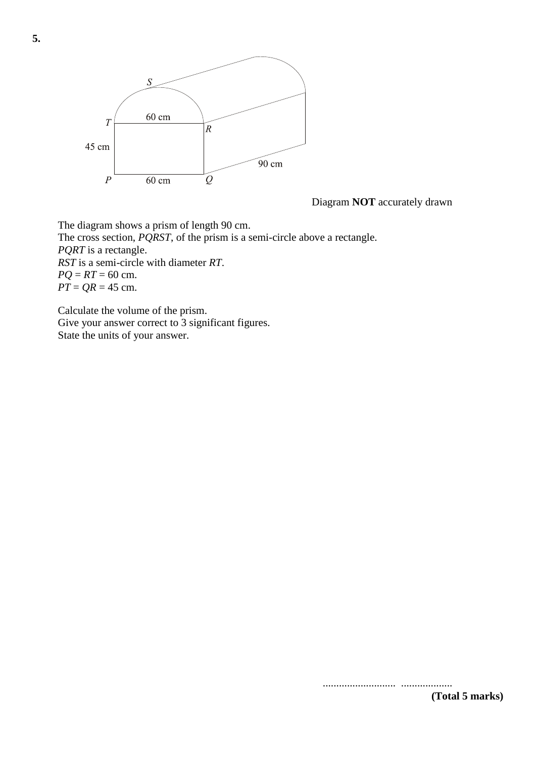

Diagram **NOT** accurately drawn

The diagram shows a prism of length 90 cm. The cross section, *PQRST*, of the prism is a semi-circle above a rectangle. *PQRT* is a rectangle. *RST* is a semi-circle with diameter *RT*.  $PQ = RT = 60$  cm.  $\overline{PT} = \overline{QR} = 45$  cm.

Calculate the volume of the prism. Give your answer correct to 3 significant figures. State the units of your answer.

........................... ................... **(Total 5 marks)**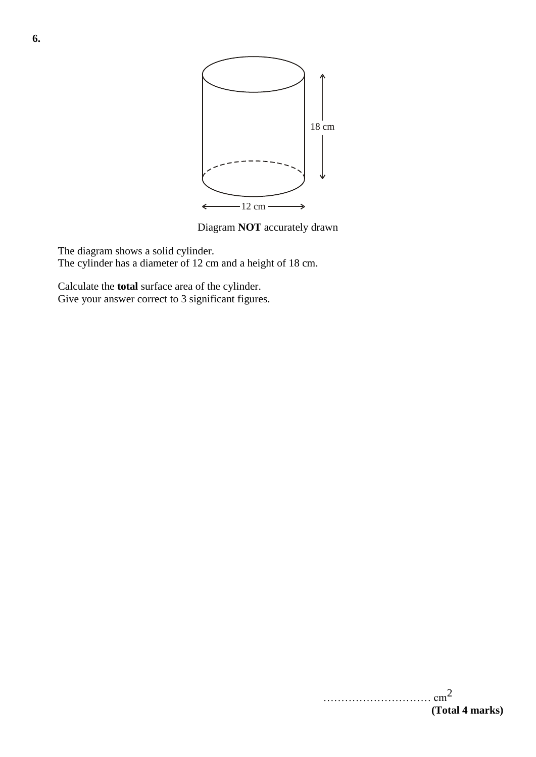

Diagram **NOT** accurately drawn

The diagram shows a solid cylinder. The cylinder has a diameter of 12 cm and a height of 18 cm.

Calculate the **total** surface area of the cylinder. Give your answer correct to 3 significant figures.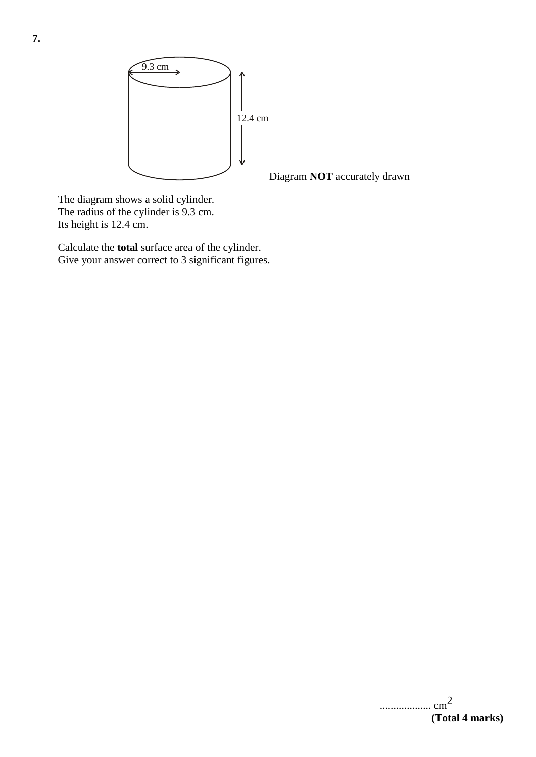

Diagram **NOT** accurately drawn

The diagram shows a solid cylinder. The radius of the cylinder is 9.3 cm. Its height is 12.4 cm.

Calculate the **total** surface area of the cylinder. Give your answer correct to 3 significant figures.